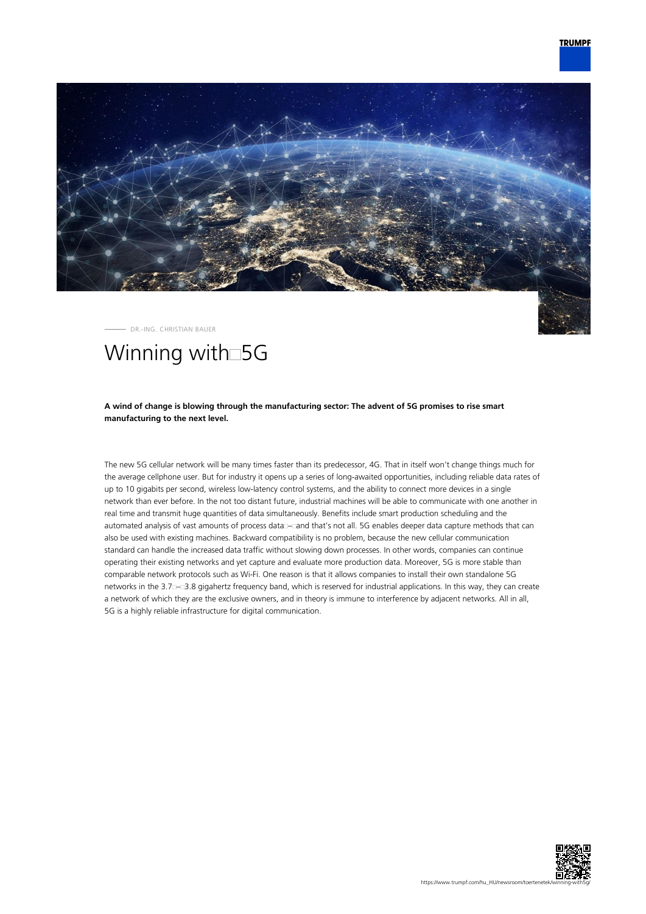

DR.-ING. CHRISTIAN BAUER

## Winning with<sup>5G</sup>

## **A wind of change is blowing through the manufacturing sector: The advent of 5G promises to rise smart manufacturing to the next level.**

The new 5G cellular network will be many times faster than its predecessor, 4G. That in itself won't change things much for the average cellphone user. But for industry it opens up a series of long-awaited opportunities, including reliable data rates of up to 10 gigabits per second, wireless low-latency control systems, and the ability to connect more devices in a single network than ever before. In the not too distant future, industrial machines will be able to communicate with one another in real time and transmit huge quantities of data simultaneously. Benefits include smart production scheduling and the automated analysis of vast amounts of process data – and that's not all. 5G enables deeper data capture methods that can also be used with existing machines. Backward compatibility is no problem, because the new cellular communication standard can handle the increased data traffic without slowing down processes. In other words, companies can continue operating their existing networks and yet capture and evaluate more production data. Moreover, 5G is more stable than comparable network protocols such as Wi-Fi. One reason is that it allows companies to install their own standalone 5G networks in the 3.7 – 3.8 gigahertz frequency band, which is reserved for industrial applications. In this way, they can create a network of which they are the exclusive owners, and in theory is immune to interference by adjacent networks. All in all, 5G is a highly reliable infrastructure for digital communication.